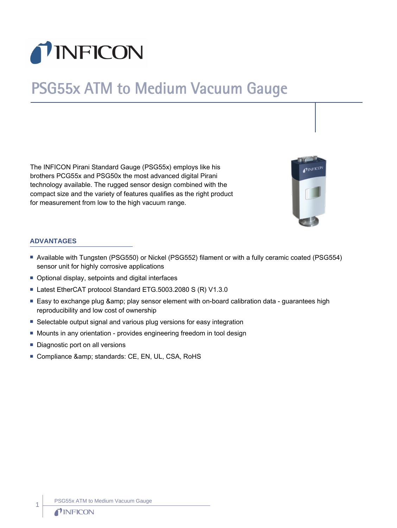

# PSG55x ATM to Medium Vacuum Gauge

The INFICON Pirani Standard Gauge (PSG55x) employs like his brothers PCG55x and PSG50x the most advanced digital Pirani technology available. The rugged sensor design combined with the compact size and the variety of features qualifies as the right product for measurement from low to the high vacuum range.



#### **ADVANTAGES**

- n Available with Tungsten (PSG550) or Nickel (PSG552) filament or with a fully ceramic coated (PSG554) sensor unit for highly corrosive applications
- Optional display, setpoints and digital interfaces
- Latest EtherCAT protocol Standard ETG.5003.2080 S (R) V1.3.0
- Easy to exchange plug & amp; play sensor element with on-board calibration data guarantees high reproducibility and low cost of ownership
- Selectable output signal and various plug versions for easy integration
- Mounts in any orientation provides engineering freedom in tool design
- $\blacksquare$  Diagnostic port on all versions
- Compliance & amp; standards: CE, EN, UL, CSA, RoHS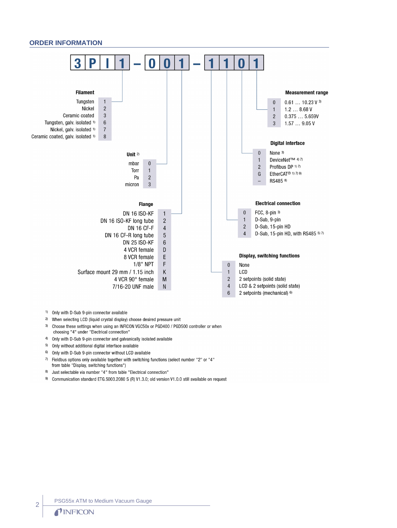#### **ORDER INFORMATION**



- <sup>1)</sup> Only with D-Sub 9-pin connector available
- <sup>2)</sup> When selecting LCD (liquid crystal display) choose desired pressure unit
- 3) Choose these settings when using an INFICON VGC50x or PGD400 / PGD500 controller or when choosing "4" under "Electrical connection"
- 4) Only with D-Sub 9-pin connector and galvanically isolated available
- 5) Only without additional digital interface available
- $6)$ Only with D-Sub 9-pin connector without LCD available
- Fieldbus options only available together with switching functions (select number "2" or "4"  $7)$ from table "Display, switching functions")
- 8) Just selectable via number "4" from table "Electrical connection"
- 9) Communication standard ETG.5003.2080 S (R) V1.3.0; old version V1.0.0 still available on request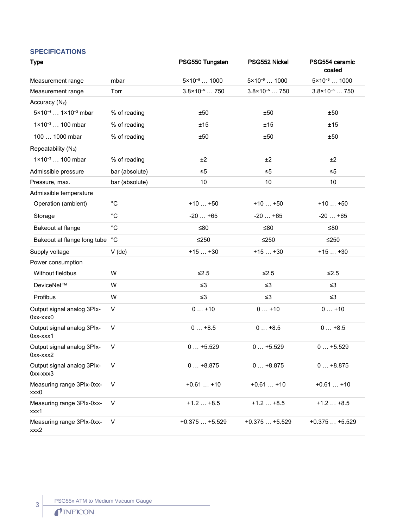# **SPECIFICATIONS** Type **PSG550 Tungsten** PSG552 Nickel PSG554 ceramic coated Measurement range mbar  $5 \times 10^{-5}$  ...  $1000$   $5 \times 10^{-5}$  ...  $1000$   $5 \times 10^{-5}$  ...  $1000$ Measurement range Torr  $3.8 \times 10^{-5}$  ... 750  $3.8 \times 10^{-5}$  ... 750  $3.8 \times 10^{-5}$  ... 750 Accuracy (N<sub>2</sub>)  $5 \times 10^{-4}$  ...  $1 \times 10^{-3}$  mbar % of reading  $\pm 50$   $\pm 50$   $\pm 50$   $\pm 50$ 1×10<sup>-3</sup> … 100 mbar % of reading  $\pm$ 15  $\pm$ 15  $\pm$ 15  $\pm$ 15  $\pm$ 15 100 … 1000 mbar % of reading  $\pm$ 50  $\pm$ 50  $\pm$ 50  $\pm$ 50  $\pm$ 50 Repeatability (N₂)  $1 \times 10^{-3}$  … 100 mbar  $\frac{1}{2}$  % of reading  $\frac{1}{2}$   $\frac{1}{2}$   $\frac{1}{2}$   $\frac{1}{2}$   $\frac{1}{2}$ Admissible pressure bar (absolute) ≤5 ≤5 ≤5 ≤5 Pressure, max. bar (absolute) 10 10 10 10 10 10 Admissible temperature Operation (ambient) <sup>o</sup>C +10 … +50 +10 … +50 +10 … +50 +10 … +50 Storage °C -20 … +65 -20 … +65 -20 … +65 Bakeout at flange <sup>°</sup>C ≤80 ≤80 ≤80 ≤80 Bakeout at flange long tube  $^{\circ}$ C  $\leq$ 250  $\leq$ 250  $\leq$ 250  $\leq$ 250 Supply voltage  $V$  (dc)  $+15$  ... +30  $+15$  ... +30  $+15$  ... +30 Power consumption Without fieldbus W  $\leq 2.5$   $\leq 2.5$   $\leq 2.5$ DeviceNet™ W ≤3 ≤3 ≤3 Profibus W ≤3 ≤3 ≤3 Output signal analog 3PIx-0xx-xxx0 V 0 … +10 0 … +10 0 … +10 Output signal analog 3PIx-0xx-xxx1 V 0 … +8.5 0 … +8.5 0 … +8.5 Output signal analog 3PIx-0xx-xxx2 V 0 … +5.529 0 … +5.529 0 … +5.529 Output signal analog 3PIx-0xx-xxx3 V 0 … +8.875 0 … +8.875 0 … +8.875 Measuring range 3PIx-0xxxxx0 V +0.61 … +10 +0.61 … +10 +0.61 … +10 +0.61 … +10 Measuring range 3PIx-0xxxxx1 V +1.2 … +8.5 +1.2 … +8.5 +1.2 … +8.5 Measuring range 3PIx-0xxxxx2 V +0.375 … +5.529 +0.375 … +5.529 +0.375 … +5.529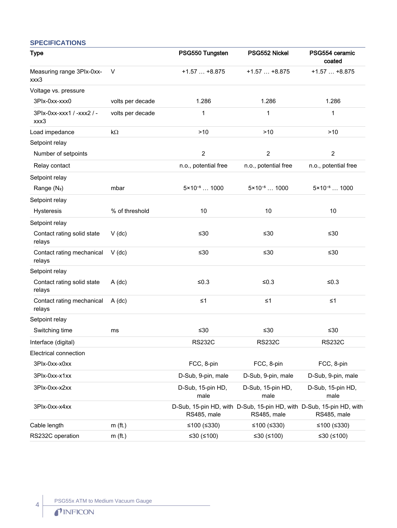#### **SPECIFICATIONS**

| <b>Type</b>                          |                  | PSG550 Tungsten                                                                     | PSG552 Nickel             | PSG554 ceramic<br>coated  |
|--------------------------------------|------------------|-------------------------------------------------------------------------------------|---------------------------|---------------------------|
| Measuring range 3Plx-0xx-<br>xxx3    | V                | $+1.57+8.875$                                                                       | $+1.57+8.875$             | $+1.57+8.875$             |
| Voltage vs. pressure                 |                  |                                                                                     |                           |                           |
| 3Plx-0xx-xxx0                        | volts per decade | 1.286                                                                               | 1.286                     | 1.286                     |
| 3Plx-0xx-xxx1 / -xxx2 / -<br>xxx3    | volts per decade | 1                                                                                   | 1                         | 1                         |
| Load impedance                       | kΩ               | >10                                                                                 | >10                       | $>10$                     |
| Setpoint relay                       |                  |                                                                                     |                           |                           |
| Number of setpoints                  |                  | $\overline{2}$                                                                      | $\overline{c}$            | $\overline{2}$            |
| Relay contact                        |                  | n.o., potential free                                                                | n.o., potential free      | n.o., potential free      |
| Setpoint relay                       |                  |                                                                                     |                           |                           |
| Range (N <sub>2</sub> )              | mbar             | $5 \times 10^{-5}$ 1000                                                             | $5 \times 10^{-5}$ 1000   | $5 \times 10^{-5}$ 1000   |
| Setpoint relay                       |                  |                                                                                     |                           |                           |
| Hysteresis                           | % of threshold   | 10                                                                                  | 10                        | 10                        |
| Setpoint relay                       |                  |                                                                                     |                           |                           |
| Contact rating solid state<br>relays | $V$ (dc)         | ≤30                                                                                 | ≤30                       | $≤30$                     |
| Contact rating mechanical<br>relays  | $V$ (dc)         | ≤30                                                                                 | $≤30$                     | $≤30$                     |
| Setpoint relay                       |                  |                                                                                     |                           |                           |
| Contact rating solid state<br>relays | $A$ (dc)         | $≤0.3$                                                                              | ≤ $0.3$                   | ≤ $0.3$                   |
| Contact rating mechanical<br>relays  | $A$ (dc)         | $\leq 1$                                                                            | $\leq 1$                  | $\leq 1$                  |
| Setpoint relay                       |                  |                                                                                     |                           |                           |
| Switching time                       | ms               | ≤30                                                                                 | ≤30                       | $≤30$                     |
| Interface (digital)                  |                  | <b>RS232C</b>                                                                       | <b>RS232C</b>             | <b>RS232C</b>             |
| Electrical connection                |                  |                                                                                     |                           |                           |
| 3Plx-0xx-x0xx                        |                  | FCC, 8-pin                                                                          | FCC, 8-pin                | FCC, 8-pin                |
| 3Plx-0xx-x1xx                        |                  | D-Sub, 9-pin, male                                                                  | D-Sub, 9-pin, male        | D-Sub, 9-pin, male        |
| 3Plx-0xx-x2xx                        |                  | D-Sub, 15-pin HD,<br>male                                                           | D-Sub, 15-pin HD,<br>male | D-Sub, 15-pin HD,<br>male |
| 3Plx-0xx-x4xx                        |                  | D-Sub, 15-pin HD, with D-Sub, 15-pin HD, with D-Sub, 15-pin HD, with<br>RS485, male | RS485, male               | RS485, male               |
| Cable length                         | $m$ (ft.)        | ≤100 $(≤330)$                                                                       | ≤100 $(≤330)$             | ≤100 $(≤330)$             |
| RS232C operation                     | $m$ (ft.)        | ≤30 $(≤100)$                                                                        | ≤30 $(≤100)$              | ≤30 $(≤100)$              |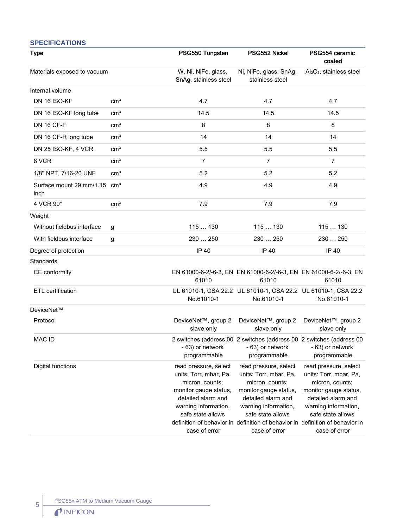#### **SPECIFICATIONS** Type PSG550 Tungsten PSG552 Nickel PSG554 ceramic coated Materials exposed to vacuum W, Ni, NiFe, glass, SnAg, stainless steel Ni, NiFe, glass, SnAg, stainless steel Al₂O₃, stainless steel Internal volume DN 16 ISO-KF cm³ 4.7 4.7 4.7 DN 16 ISO-KF long tube cm<sup>3</sup> 14.5 14.5 14.5 14.5 14.5  $\text{DN 16 C} \text{F-F}$  cm $^3$  8 8 8 8 DN 16 CF-R long tube cm<sup>3</sup> 14 14 14 14 14 14 DN 25 ISO-KF, 4 VCR cm³ 5.5 5.5 5.5 8 VCR cm³ 7 7 7 1/8" NPT, 7/16-20 UNF cm<sup>3</sup> 5.2 5.2 5.2 5.2 5.2 Surface mount 29 mm/1.15 inch  $\text{cm}^3$  and  $\text{cm}^3$  and  $\text{cm}^3$  and  $\text{cm}^3$  and  $\text{cm}^3$  and  $\text{cm}^3$  and  $\text{cm}^3$  and  $\text{cm}^3$  and  $\text{cm}^3$  and  $\text{cm}^3$  and  $\text{cm}^3$  and  $\text{cm}^3$  and  $\text{cm}^3$  and  $\text{cm}^3$  and  $\text{cm}^3$  and  $\text{cm}^3$  a  $4 \text{ VCR } 90^{\circ}$  cm $3 \text{ cm}^3$  7.9 7.9 7.9 7.9 7.9 **Weight** Without fieldbus interface g 115 m  $\frac{130}{15}$  115 m  $\frac{130}{115}$  115 m  $\frac{130}{115}$  115 m  $\frac{130}{115}$ With fieldbus interface  $g$  230  $\ldots$  250 230  $\ldots$  250 230  $\ldots$  250 230  $\ldots$  250 Degree of protection **IP 40** IP 40 **IP 40** IP 40 **IP 40 Standards** CE conformity EN 61000-6-2/-6-3, EN EN 61000-6-2/-6-3, EN EN 61000-6-2/-6-3, EN 61010 61010 61010 ETL certification UL 61010-1, CSA 22.2 UL 61010-1, CSA 22.2 UL 61010-1, CSA 22.2 No.61010-1 No.61010-1 No.61010-1 DeviceNet™ Protocol DeviceNet™, group 2 slave only DeviceNet™, group 2 slave only DeviceNet™, group 2 slave only MAC ID 2 switches (address 00 2 switches (address 00 2 switches (address 00 - 63) or network programmable - 63) or network programmable - 63) or network programmable Digital functions **read pressure**, select units: Torr, mbar, Pa, micron, counts; monitor gauge status, detailed alarm and warning information, safe state allows definition of behavior in definition of behavior in definition of behavior in case of error read pressure, select units: Torr, mbar, Pa, micron, counts; monitor gauge status, detailed alarm and warning information, safe state allows case of error read pressure, select units: Torr, mbar, Pa, micron, counts; monitor gauge status, detailed alarm and warning information, safe state allows case of error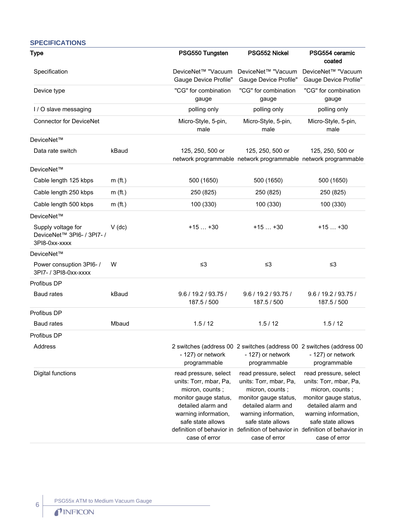| <b>SPECIFICATIONS</b> |  |  |
|-----------------------|--|--|
|-----------------------|--|--|

| <b>Type</b>                                                       |           | PSG550 Tungsten                                                                                                                                                                 | PSG552 Nickel                                                                                                                                                                                                                                                    | PSG554 ceramic<br>coated                                                                                                                                                        |
|-------------------------------------------------------------------|-----------|---------------------------------------------------------------------------------------------------------------------------------------------------------------------------------|------------------------------------------------------------------------------------------------------------------------------------------------------------------------------------------------------------------------------------------------------------------|---------------------------------------------------------------------------------------------------------------------------------------------------------------------------------|
| Specification                                                     |           | DeviceNet™ "Vacuum<br>Gauge Device Profile"                                                                                                                                     | DeviceNet™ "Vacuum<br><b>Gauge Device Profile"</b>                                                                                                                                                                                                               | DeviceNet™ "Vacuum<br>Gauge Device Profile"                                                                                                                                     |
| Device type                                                       |           | "CG" for combination<br>gauge                                                                                                                                                   | "CG" for combination<br>gauge                                                                                                                                                                                                                                    | "CG" for combination<br>gauge                                                                                                                                                   |
| I / O slave messaging                                             |           | polling only                                                                                                                                                                    | polling only                                                                                                                                                                                                                                                     | polling only                                                                                                                                                                    |
| <b>Connector for DeviceNet</b>                                    |           | Micro-Style, 5-pin,<br>male                                                                                                                                                     | Micro-Style, 5-pin,<br>male                                                                                                                                                                                                                                      | Micro-Style, 5-pin,<br>male                                                                                                                                                     |
| DeviceNet™                                                        |           |                                                                                                                                                                                 |                                                                                                                                                                                                                                                                  |                                                                                                                                                                                 |
| Data rate switch                                                  | kBaud     | 125, 250, 500 or                                                                                                                                                                | 125, 250, 500 or<br>network programmable network programmable network programmable                                                                                                                                                                               | 125, 250, 500 or                                                                                                                                                                |
| DeviceNet™                                                        |           |                                                                                                                                                                                 |                                                                                                                                                                                                                                                                  |                                                                                                                                                                                 |
| Cable length 125 kbps                                             | $m$ (ft.) | 500 (1650)                                                                                                                                                                      | 500 (1650)                                                                                                                                                                                                                                                       | 500 (1650)                                                                                                                                                                      |
| Cable length 250 kbps                                             | $m$ (ft.) | 250 (825)                                                                                                                                                                       | 250 (825)                                                                                                                                                                                                                                                        | 250 (825)                                                                                                                                                                       |
| Cable length 500 kbps                                             | $m$ (ft.) | 100 (330)                                                                                                                                                                       | 100 (330)                                                                                                                                                                                                                                                        | 100 (330)                                                                                                                                                                       |
| DeviceNet™                                                        |           |                                                                                                                                                                                 |                                                                                                                                                                                                                                                                  |                                                                                                                                                                                 |
| Supply voltage for<br>DeviceNet™ 3PI6- / 3PI7- /<br>3PI8-0xx-xxxx | $V$ (dc)  | $+15+30$                                                                                                                                                                        | $+15+30$                                                                                                                                                                                                                                                         | $+15+30$                                                                                                                                                                        |
| DeviceNet™                                                        |           |                                                                                                                                                                                 |                                                                                                                                                                                                                                                                  |                                                                                                                                                                                 |
| Power consuption 3PI6-/<br>3PI7- / 3PI8-0xx-xxxx                  | W         | $\leq$ 3                                                                                                                                                                        | $\leq$ 3                                                                                                                                                                                                                                                         | $\leq$ 3                                                                                                                                                                        |
| Profibus DP                                                       |           |                                                                                                                                                                                 |                                                                                                                                                                                                                                                                  |                                                                                                                                                                                 |
| Baud rates                                                        | kBaud     | 9.6 / 19.2 / 93.75 /<br>187.5 / 500                                                                                                                                             | 9.6 / 19.2 / 93.75 /<br>187.5 / 500                                                                                                                                                                                                                              | 9.6 / 19.2 / 93.75 /<br>187.5 / 500                                                                                                                                             |
| Profibus DP                                                       |           |                                                                                                                                                                                 |                                                                                                                                                                                                                                                                  |                                                                                                                                                                                 |
| Baud rates                                                        | Mbaud     | 1.5/12                                                                                                                                                                          | 1.5/12                                                                                                                                                                                                                                                           | 1.5/12                                                                                                                                                                          |
| Profibus DP                                                       |           |                                                                                                                                                                                 |                                                                                                                                                                                                                                                                  |                                                                                                                                                                                 |
| Address                                                           |           | - 127) or network<br>programmable                                                                                                                                               | 2 switches (address 00 2 switches (address 00 2 switches (address 00<br>- 127) or network<br>programmable                                                                                                                                                        | - 127) or network<br>programmable                                                                                                                                               |
| Digital functions                                                 |           | read pressure, select<br>units: Torr, mbar, Pa,<br>micron, counts;<br>monitor gauge status,<br>detailed alarm and<br>warning information,<br>safe state allows<br>case of error | read pressure, select<br>units: Torr, mbar, Pa,<br>micron, counts;<br>monitor gauge status,<br>detailed alarm and<br>warning information,<br>safe state allows<br>definition of behavior in definition of behavior in definition of behavior in<br>case of error | read pressure, select<br>units: Torr, mbar, Pa,<br>micron, counts;<br>monitor gauge status,<br>detailed alarm and<br>warning information,<br>safe state allows<br>case of error |

6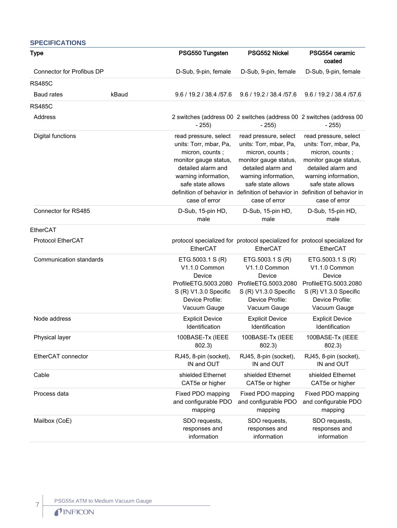| <b>SPECIFICATIONS</b>     |       |                                                                                                                                                                                 |                                                                                                                                                                                 |                                                                                                                                                                                                                                                                  |
|---------------------------|-------|---------------------------------------------------------------------------------------------------------------------------------------------------------------------------------|---------------------------------------------------------------------------------------------------------------------------------------------------------------------------------|------------------------------------------------------------------------------------------------------------------------------------------------------------------------------------------------------------------------------------------------------------------|
| Type                      |       | PSG550 Tungsten                                                                                                                                                                 | PSG552 Nickel                                                                                                                                                                   | PSG554 ceramic<br>coated                                                                                                                                                                                                                                         |
| Connector for Profibus DP |       | D-Sub, 9-pin, female                                                                                                                                                            | D-Sub, 9-pin, female                                                                                                                                                            | D-Sub, 9-pin, female                                                                                                                                                                                                                                             |
| <b>RS485C</b>             |       |                                                                                                                                                                                 |                                                                                                                                                                                 |                                                                                                                                                                                                                                                                  |
| <b>Baud rates</b>         | kBaud | 9.6 / 19.2 / 38.4 / 57.6                                                                                                                                                        | 9.6 / 19.2 / 38.4 / 57.6                                                                                                                                                        | 9.6 / 19.2 / 38.4 / 57.6                                                                                                                                                                                                                                         |
| <b>RS485C</b>             |       |                                                                                                                                                                                 |                                                                                                                                                                                 |                                                                                                                                                                                                                                                                  |
| Address                   |       | $-255)$                                                                                                                                                                         | 2 switches (address 00 2 switches (address 00 2 switches (address 00<br>$-255)$                                                                                                 | $-255$                                                                                                                                                                                                                                                           |
| <b>Digital functions</b>  |       | read pressure, select<br>units: Torr, mbar, Pa,<br>micron, counts;<br>monitor gauge status,<br>detailed alarm and<br>warning information,<br>safe state allows<br>case of error | read pressure, select<br>units: Torr, mbar, Pa,<br>micron, counts;<br>monitor gauge status,<br>detailed alarm and<br>warning information,<br>safe state allows<br>case of error | read pressure, select<br>units: Torr, mbar, Pa,<br>micron, counts;<br>monitor gauge status,<br>detailed alarm and<br>warning information,<br>safe state allows<br>definition of behavior in definition of behavior in definition of behavior in<br>case of error |
| Connector for RS485       |       | D-Sub, 15-pin HD,<br>male                                                                                                                                                       | D-Sub, 15-pin HD,<br>male                                                                                                                                                       | D-Sub, 15-pin HD,<br>male                                                                                                                                                                                                                                        |
| EtherCAT                  |       |                                                                                                                                                                                 |                                                                                                                                                                                 |                                                                                                                                                                                                                                                                  |
| Protocol EtherCAT         |       | EtherCAT                                                                                                                                                                        | EtherCAT                                                                                                                                                                        | protocol specialized for protocol specialized for protocol specialized for<br>EtherCAT                                                                                                                                                                           |
| Communication standards   |       | ETG.5003.1 S (R)<br>V1.1.0 Common<br>Device<br>ProfileETG.5003.2080<br>S (R) V1.3.0 Specific<br>Device Profile:<br>Vacuum Gauge                                                 | ETG.5003.1 S (R)<br>V1.1.0 Common<br>Device<br>ProfileETG.5003.2080<br>S (R) V1.3.0 Specific<br>Device Profile:<br>Vacuum Gauge                                                 | ETG.5003.1 S (R)<br>V1.1.0 Common<br>Device<br>ProfileETG.5003.2080<br>S (R) V1.3.0 Specific<br>Device Profile:<br>Vacuum Gauge                                                                                                                                  |
| Node address              |       | <b>Explicit Device</b><br>Identification                                                                                                                                        | <b>Explicit Device</b><br>Identification                                                                                                                                        | <b>Explicit Device</b><br>Identification                                                                                                                                                                                                                         |
| Physical layer            |       | 100BASE-Tx (IEEE<br>802.3)                                                                                                                                                      | 100BASE-Tx (IEEE<br>802.3)                                                                                                                                                      | 100BASE-Tx (IEEE<br>802.3)                                                                                                                                                                                                                                       |
| EtherCAT connector        |       | RJ45, 8-pin (socket),<br>IN and OUT                                                                                                                                             | RJ45, 8-pin (socket),<br>IN and OUT                                                                                                                                             | RJ45, 8-pin (socket),<br>IN and OUT                                                                                                                                                                                                                              |
| Cable                     |       | shielded Ethernet<br>CAT5e or higher                                                                                                                                            | shielded Ethernet<br>CAT5e or higher                                                                                                                                            | shielded Ethernet<br>CAT5e or higher                                                                                                                                                                                                                             |
| Process data              |       | Fixed PDO mapping<br>and configurable PDO<br>mapping                                                                                                                            | Fixed PDO mapping<br>and configurable PDO<br>mapping                                                                                                                            | Fixed PDO mapping<br>and configurable PDO<br>mapping                                                                                                                                                                                                             |
| Mailbox (CoE)             |       | SDO requests,<br>responses and<br>information                                                                                                                                   | SDO requests,<br>responses and<br>information                                                                                                                                   | SDO requests,<br>responses and<br>information                                                                                                                                                                                                                    |

7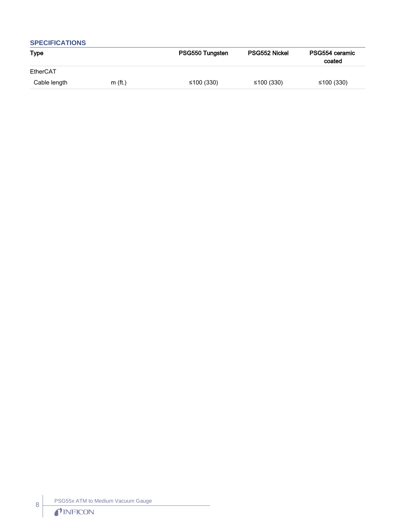| <b>SPECIFICATIONS</b> |           |                 |               |                          |
|-----------------------|-----------|-----------------|---------------|--------------------------|
| <b>Type</b>           |           | PSG550 Tungsten | PSG552 Nickel | PSG554 ceramic<br>coated |
| EtherCAT              |           |                 |               |                          |
| Cable length          | $m$ (ft.) | ≤100 (330)      | ≤100 (330)    | ≤100 (330)               |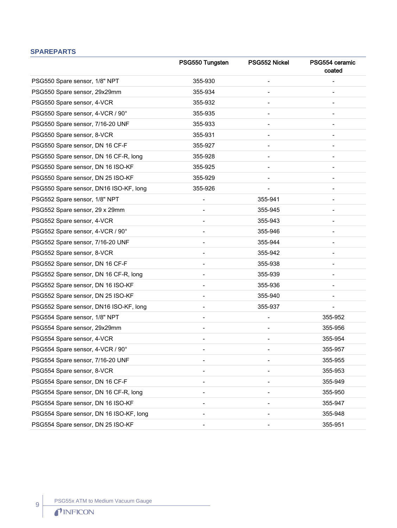# **SPAREPARTS**

|                                         | PSG550 Tungsten          | PSG552 Nickel            | PSG554 ceramic<br>coated |
|-----------------------------------------|--------------------------|--------------------------|--------------------------|
| PSG550 Spare sensor, 1/8" NPT           | 355-930                  |                          |                          |
| PSG550 Spare sensor, 29x29mm            | 355-934                  |                          |                          |
| PSG550 Spare sensor, 4-VCR              | 355-932                  |                          |                          |
| PSG550 Spare sensor, 4-VCR / 90°        | 355-935                  |                          |                          |
| PSG550 Spare sensor, 7/16-20 UNF        | 355-933                  |                          |                          |
| PSG550 Spare sensor, 8-VCR              | 355-931                  |                          |                          |
| PSG550 Spare sensor, DN 16 CF-F         | 355-927                  |                          |                          |
| PSG550 Spare sensor, DN 16 CF-R, long   | 355-928                  |                          |                          |
| PSG550 Spare sensor, DN 16 ISO-KF       | 355-925                  |                          |                          |
| PSG550 Spare sensor, DN 25 ISO-KF       | 355-929                  |                          |                          |
| PSG550 Spare sensor, DN16 ISO-KF, long  | 355-926                  | $\overline{\phantom{a}}$ |                          |
| PSG552 Spare sensor, 1/8" NPT           | $\overline{\phantom{a}}$ | 355-941                  |                          |
| PSG552 Spare sensor, 29 x 29mm          |                          | 355-945                  |                          |
| PSG552 Spare sensor, 4-VCR              |                          | 355-943                  |                          |
| PSG552 Spare sensor, 4-VCR / 90°        |                          | 355-946                  |                          |
| PSG552 Spare sensor, 7/16-20 UNF        |                          | 355-944                  |                          |
| PSG552 Spare sensor, 8-VCR              |                          | 355-942                  |                          |
| PSG552 Spare sensor, DN 16 CF-F         |                          | 355-938                  |                          |
| PSG552 Spare sensor, DN 16 CF-R, long   |                          | 355-939                  |                          |
| PSG552 Spare sensor, DN 16 ISO-KF       |                          | 355-936                  |                          |
| PSG552 Spare sensor, DN 25 ISO-KF       |                          | 355-940                  |                          |
| PSG552 Spare sensor, DN16 ISO-KF, long  |                          | 355-937                  |                          |
| PSG554 Spare sensor, 1/8" NPT           |                          |                          | 355-952                  |
| PSG554 Spare sensor, 29x29mm            |                          |                          | 355-956                  |
| PSG554 Spare sensor, 4-VCR              |                          | $\overline{\phantom{a}}$ | 355-954                  |
| PSG554 Spare sensor, 4-VCR / 90°        |                          |                          | 355-957                  |
| PSG554 Spare sensor, 7/16-20 UNF        |                          |                          | 355-955                  |
| PSG554 Spare sensor, 8-VCR              |                          |                          | 355-953                  |
| PSG554 Spare sensor, DN 16 CF-F         |                          |                          | 355-949                  |
| PSG554 Spare sensor, DN 16 CF-R, long   |                          | $\overline{\phantom{a}}$ | 355-950                  |
| PSG554 Spare sensor, DN 16 ISO-KF       |                          |                          | 355-947                  |
| PSG554 Spare sensor, DN 16 ISO-KF, long |                          |                          | 355-948                  |
| PSG554 Spare sensor, DN 25 ISO-KF       |                          |                          | 355-951                  |